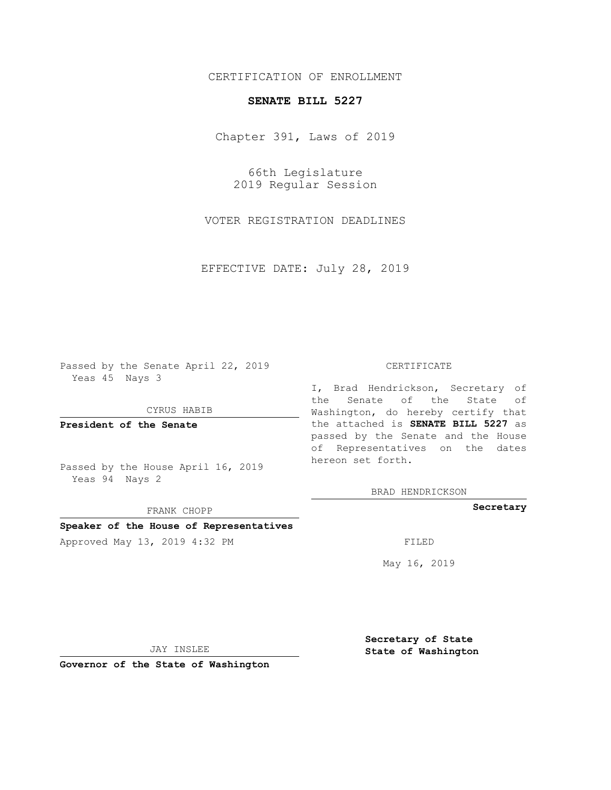# CERTIFICATION OF ENROLLMENT

### **SENATE BILL 5227**

Chapter 391, Laws of 2019

66th Legislature 2019 Regular Session

VOTER REGISTRATION DEADLINES

EFFECTIVE DATE: July 28, 2019

Passed by the Senate April 22, 2019 Yeas 45 Nays 3

CYRUS HABIB

**President of the Senate**

Passed by the House April 16, 2019 Yeas 94 Nays 2

FRANK CHOPP

### **Speaker of the House of Representatives**

Approved May 13, 2019 4:32 PM

#### CERTIFICATE

I, Brad Hendrickson, Secretary of the Senate of the State of Washington, do hereby certify that the attached is **SENATE BILL 5227** as passed by the Senate and the House of Representatives on the dates hereon set forth.

BRAD HENDRICKSON

## **Secretary**

May 16, 2019

JAY INSLEE

**Governor of the State of Washington**

**Secretary of State State of Washington**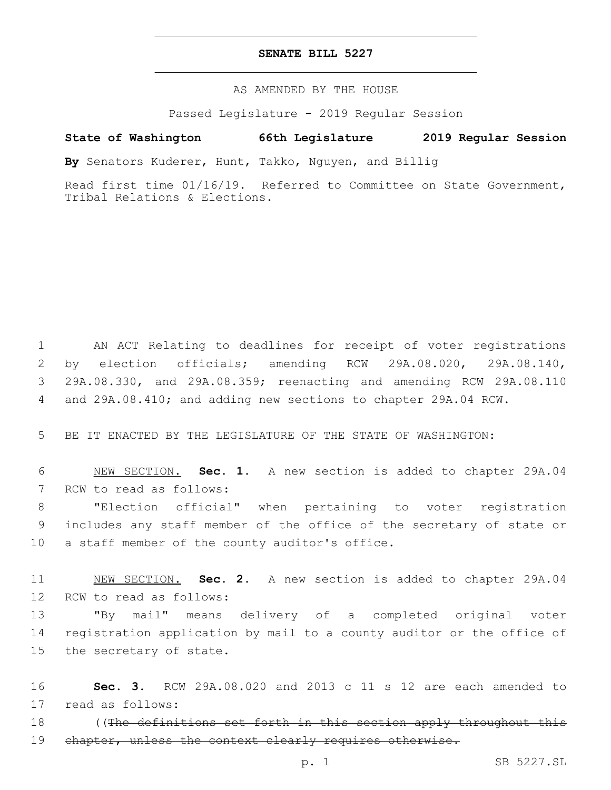## **SENATE BILL 5227**

AS AMENDED BY THE HOUSE

Passed Legislature - 2019 Regular Session

# **State of Washington 66th Legislature 2019 Regular Session**

**By** Senators Kuderer, Hunt, Takko, Nguyen, and Billig

Read first time 01/16/19. Referred to Committee on State Government, Tribal Relations & Elections.

 AN ACT Relating to deadlines for receipt of voter registrations by election officials; amending RCW 29A.08.020, 29A.08.140, 29A.08.330, and 29A.08.359; reenacting and amending RCW 29A.08.110 and 29A.08.410; and adding new sections to chapter 29A.04 RCW.

5 BE IT ENACTED BY THE LEGISLATURE OF THE STATE OF WASHINGTON:

6 NEW SECTION. **Sec. 1.** A new section is added to chapter 29A.04 7 RCW to read as follows:

8 "Election official" when pertaining to voter registration 9 includes any staff member of the office of the secretary of state or 10 a staff member of the county auditor's office.

11 NEW SECTION. **Sec. 2.** A new section is added to chapter 29A.04 12 RCW to read as follows:

13 "By mail" means delivery of a completed original voter 14 registration application by mail to a county auditor or the office of 15 the secretary of state.

16 **Sec. 3.** RCW 29A.08.020 and 2013 c 11 s 12 are each amended to 17 read as follows:

18 (The definitions set forth in this section apply throughout this 19 chapter, unless the context clearly requires otherwise.

p. 1 SB 5227.SL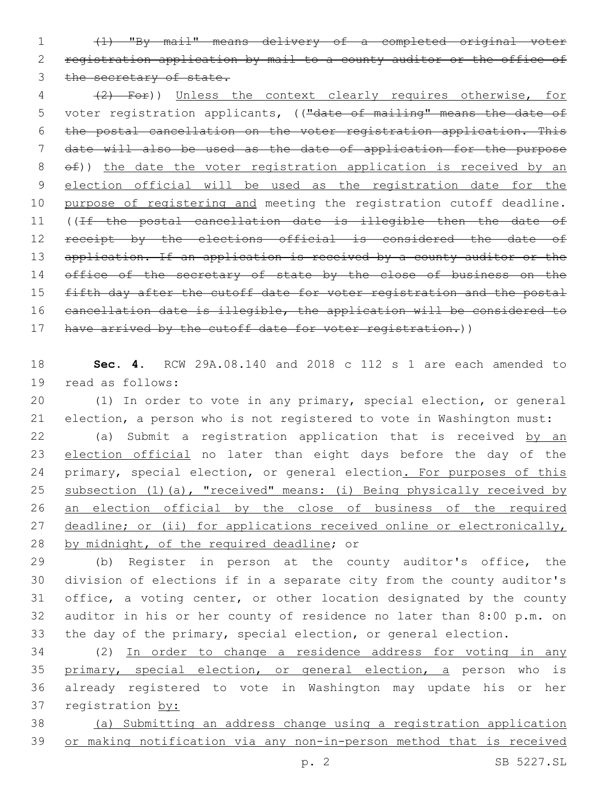1 (1) "By mail" means delivery of a completed original voter 2 registration application by mail to a county auditor or the office of 3 the secretary of state.

4 (2) For)) Unless the context clearly requires otherwise, for 5 voter registration applicants, (("date of mailing" means the date of 6 the postal cancellation on the voter registration application. This 7 date will also be used as the date of application for the purpose 8  $\Theta$ )) the date the voter registration application is received by an 9 election official will be used as the registration date for the 10 purpose of registering and meeting the registration cutoff deadline. 11 ((If the postal cancellation date is illegible then the date of 12 receipt by the elections official is considered the date of 13 application. If an application is received by a county auditor or the 14 office of the secretary of state by the close of business on the 15 fifth day after the cutoff date for voter registration and the postal 16 cancellation date is illegible, the application will be considered to 17 have arrived by the cutoff date for voter registration.))

18 **Sec. 4.** RCW 29A.08.140 and 2018 c 112 s 1 are each amended to 19 read as follows:

20 (1) In order to vote in any primary, special election, or general 21 election, a person who is not registered to vote in Washington must:

22 (a) Submit a registration application that is received by an 23 election official no later than eight days before the day of the 24 primary, special election, or general election. For purposes of this 25 subsection (1)(a), "received" means: (i) Being physically received by 26 an election official by the close of business of the required 27 deadline; or (ii) for applications received online or electronically, 28 by midnight, of the required deadline; or

 (b) Register in person at the county auditor's office, the division of elections if in a separate city from the county auditor's office, a voting center, or other location designated by the county auditor in his or her county of residence no later than 8:00 p.m. on the day of the primary, special election, or general election.

 (2) In order to change a residence address for voting in any primary, special election, or general election, a person who is already registered to vote in Washington may update his or her registration by:

38 (a) Submitting an address change using a registration application 39 or making notification via any non-in-person method that is received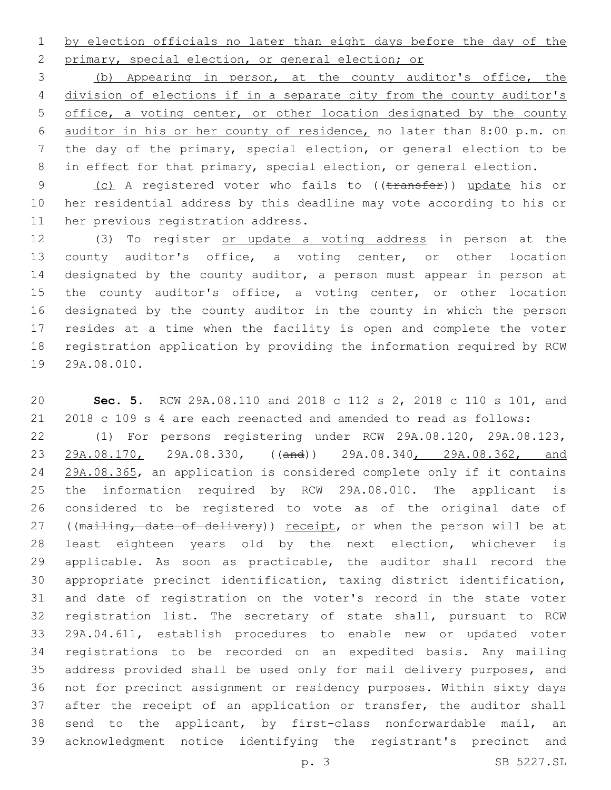by election officials no later than eight days before the day of the 2 primary, special election, or general election; or

 (b) Appearing in person, at the county auditor's office, the division of elections if in a separate city from the county auditor's office, a voting center, or other location designated by the county auditor in his or her county of residence, no later than 8:00 p.m. on the day of the primary, special election, or general election to be 8 in effect for that primary, special election, or general election.

9 (c) A registered voter who fails to ((transfer)) update his or her residential address by this deadline may vote according to his or 11 her previous registration address.

 (3) To register or update a voting address in person at the county auditor's office, a voting center, or other location designated by the county auditor, a person must appear in person at the county auditor's office, a voting center, or other location designated by the county auditor in the county in which the person resides at a time when the facility is open and complete the voter registration application by providing the information required by RCW 19 29A.08.010.

 **Sec. 5.** RCW 29A.08.110 and 2018 c 112 s 2, 2018 c 110 s 101, and 2018 c 109 s 4 are each reenacted and amended to read as follows: (1) For persons registering under RCW 29A.08.120, 29A.08.123, 29A.08.170, 29A.08.330, ((and)) 29A.08.340, 29A.08.362, and 29A.08.365, an application is considered complete only if it contains the information required by RCW 29A.08.010. The applicant is considered to be registered to vote as of the original date of 27 ((mailing, date of delivery)) receipt, or when the person will be at least eighteen years old by the next election, whichever is applicable. As soon as practicable, the auditor shall record the appropriate precinct identification, taxing district identification, and date of registration on the voter's record in the state voter registration list. The secretary of state shall, pursuant to RCW 29A.04.611, establish procedures to enable new or updated voter registrations to be recorded on an expedited basis. Any mailing address provided shall be used only for mail delivery purposes, and not for precinct assignment or residency purposes. Within sixty days 37 after the receipt of an application or transfer, the auditor shall send to the applicant, by first-class nonforwardable mail, an acknowledgment notice identifying the registrant's precinct and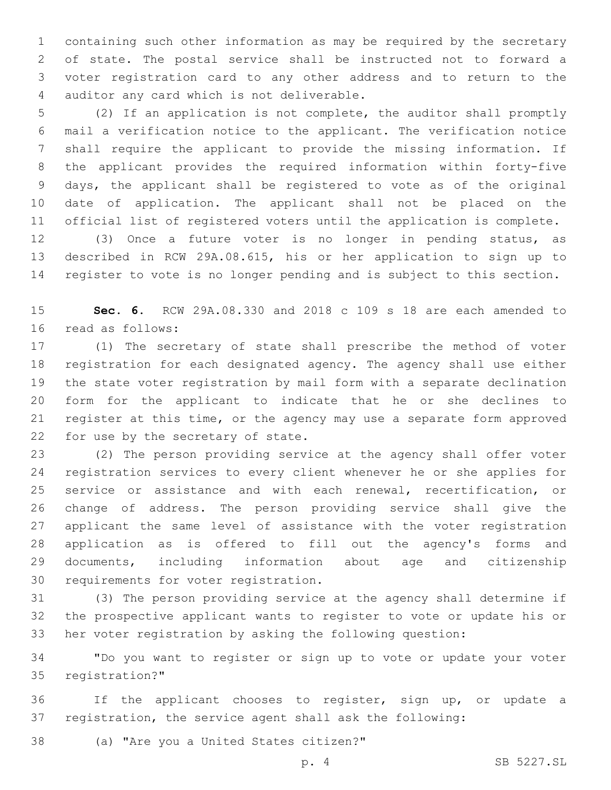containing such other information as may be required by the secretary of state. The postal service shall be instructed not to forward a voter registration card to any other address and to return to the 4 auditor any card which is not deliverable.

 (2) If an application is not complete, the auditor shall promptly mail a verification notice to the applicant. The verification notice shall require the applicant to provide the missing information. If the applicant provides the required information within forty-five days, the applicant shall be registered to vote as of the original date of application. The applicant shall not be placed on the official list of registered voters until the application is complete.

 (3) Once a future voter is no longer in pending status, as described in RCW 29A.08.615, his or her application to sign up to register to vote is no longer pending and is subject to this section.

 **Sec. 6.** RCW 29A.08.330 and 2018 c 109 s 18 are each amended to 16 read as follows:

 (1) The secretary of state shall prescribe the method of voter registration for each designated agency. The agency shall use either the state voter registration by mail form with a separate declination form for the applicant to indicate that he or she declines to register at this time, or the agency may use a separate form approved 22 for use by the secretary of state.

 (2) The person providing service at the agency shall offer voter registration services to every client whenever he or she applies for service or assistance and with each renewal, recertification, or change of address. The person providing service shall give the applicant the same level of assistance with the voter registration application as is offered to fill out the agency's forms and documents, including information about age and citizenship 30 requirements for voter registration.

 (3) The person providing service at the agency shall determine if the prospective applicant wants to register to vote or update his or her voter registration by asking the following question:

 "Do you want to register or sign up to vote or update your voter 35 registration?"

 If the applicant chooses to register, sign up, or update a registration, the service agent shall ask the following:

38 (a) "Are you a United States citizen?"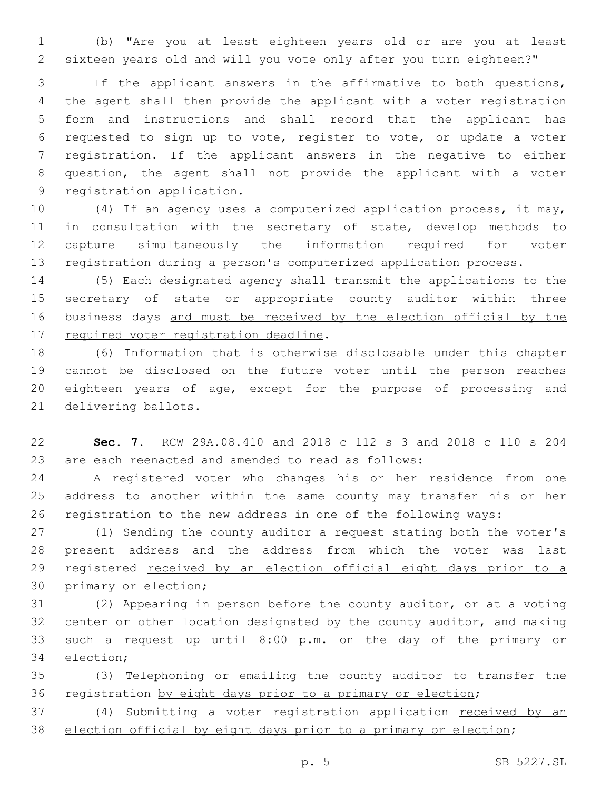(b) "Are you at least eighteen years old or are you at least sixteen years old and will you vote only after you turn eighteen?"

 If the applicant answers in the affirmative to both questions, the agent shall then provide the applicant with a voter registration form and instructions and shall record that the applicant has requested to sign up to vote, register to vote, or update a voter registration. If the applicant answers in the negative to either question, the agent shall not provide the applicant with a voter 9 registration application.

 (4) If an agency uses a computerized application process, it may, 11 in consultation with the secretary of state, develop methods to capture simultaneously the information required for voter registration during a person's computerized application process.

 (5) Each designated agency shall transmit the applications to the secretary of state or appropriate county auditor within three business days and must be received by the election official by the 17 required voter registration deadline.

 (6) Information that is otherwise disclosable under this chapter cannot be disclosed on the future voter until the person reaches eighteen years of age, except for the purpose of processing and 21 delivering ballots.

 **Sec. 7.** RCW 29A.08.410 and 2018 c 112 s 3 and 2018 c 110 s 204 are each reenacted and amended to read as follows:

 A registered voter who changes his or her residence from one address to another within the same county may transfer his or her registration to the new address in one of the following ways:

 (1) Sending the county auditor a request stating both the voter's present address and the address from which the voter was last 29 registered received by an election official eight days prior to a 30 primary or election;

 (2) Appearing in person before the county auditor, or at a voting center or other location designated by the county auditor, and making such a request up until 8:00 p.m. on the day of the primary or 34 election;

 (3) Telephoning or emailing the county auditor to transfer the registration by eight days prior to a primary or election;

37 (4) Submitting a voter registration application received by an election official by eight days prior to a primary or election;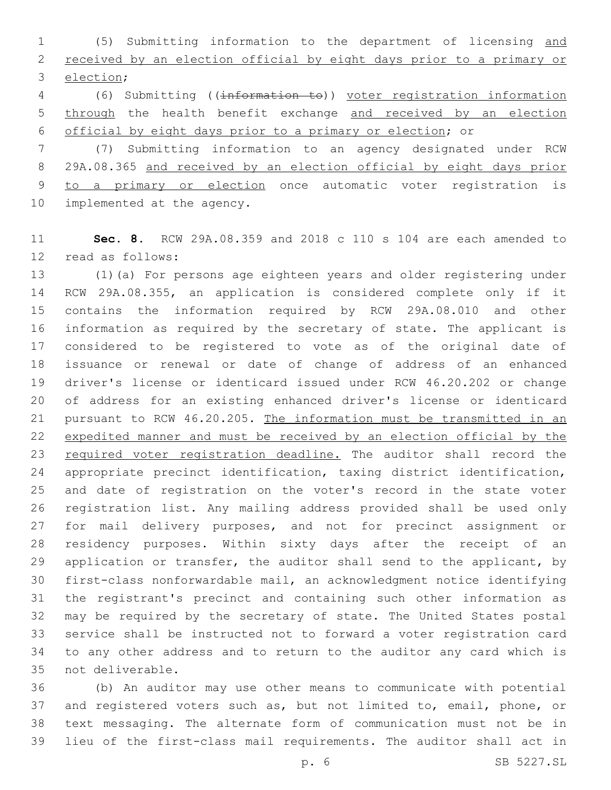(5) Submitting information to the department of licensing and received by an election official by eight days prior to a primary or 3 election;

 (6) Submitting ((information to)) voter registration information through the health benefit exchange and received by an election official by eight days prior to a primary or election; or

 (7) Submitting information to an agency designated under RCW 29A.08.365 and received by an election official by eight days prior to a primary or election once automatic voter registration is 10 implemented at the agency.

 **Sec. 8.** RCW 29A.08.359 and 2018 c 110 s 104 are each amended to 12 read as follows:

 (1)(a) For persons age eighteen years and older registering under RCW 29A.08.355, an application is considered complete only if it contains the information required by RCW 29A.08.010 and other information as required by the secretary of state. The applicant is considered to be registered to vote as of the original date of issuance or renewal or date of change of address of an enhanced driver's license or identicard issued under RCW 46.20.202 or change of address for an existing enhanced driver's license or identicard 21 pursuant to RCW 46.20.205. The information must be transmitted in an expedited manner and must be received by an election official by the 23 required voter registration deadline. The auditor shall record the appropriate precinct identification, taxing district identification, and date of registration on the voter's record in the state voter registration list. Any mailing address provided shall be used only for mail delivery purposes, and not for precinct assignment or residency purposes. Within sixty days after the receipt of an 29 application or transfer, the auditor shall send to the applicant, by first-class nonforwardable mail, an acknowledgment notice identifying the registrant's precinct and containing such other information as may be required by the secretary of state. The United States postal service shall be instructed not to forward a voter registration card to any other address and to return to the auditor any card which is 35 not deliverable.

 (b) An auditor may use other means to communicate with potential and registered voters such as, but not limited to, email, phone, or text messaging. The alternate form of communication must not be in lieu of the first-class mail requirements. The auditor shall act in